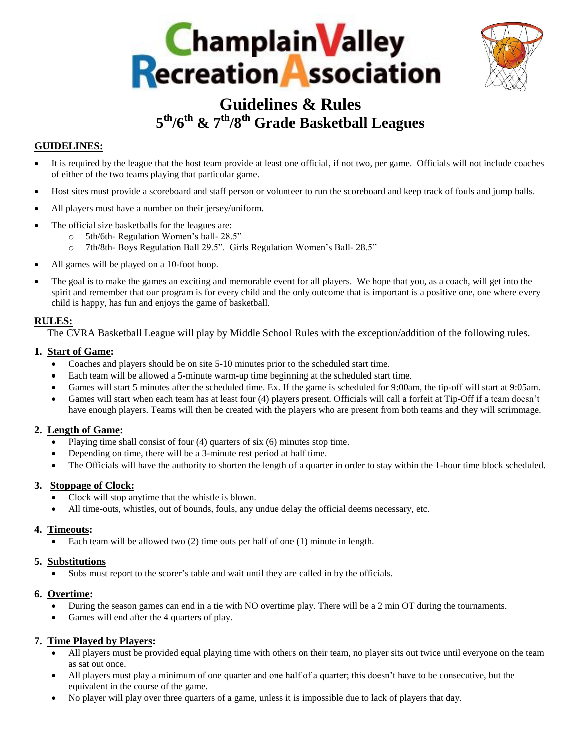



# **Guidelines & Rules 5 th/6th & 7th/8th Grade Basketball Leagues**

# **GUIDELINES:**

- It is required by the league that the host team provide at least one official, if not two, per game. Officials will not include coaches of either of the two teams playing that particular game.
- Host sites must provide a scoreboard and staff person or volunteer to run the scoreboard and keep track of fouls and jump balls.
- All players must have a number on their jersey/uniform.
- The official size basketballs for the leagues are:
	- o 5th/6th- Regulation Women's ball- 28.5"
	- o 7th/8th- Boys Regulation Ball 29.5". Girls Regulation Women's Ball- 28.5"
- All games will be played on a 10-foot hoop.
- The goal is to make the games an exciting and memorable event for all players. We hope that you, as a coach, will get into the spirit and remember that our program is for every child and the only outcome that is important is a positive one, one where every child is happy, has fun and enjoys the game of basketball.

## **RULES:**

The CVRA Basketball League will play by Middle School Rules with the exception/addition of the following rules.

## **1. Start of Game:**

- Coaches and players should be on site 5-10 minutes prior to the scheduled start time.
- Each team will be allowed a 5-minute warm-up time beginning at the scheduled start time.
- Games will start 5 minutes after the scheduled time. Ex. If the game is scheduled for 9:00am, the tip-off will start at 9:05am.
- Games will start when each team has at least four (4) players present. Officials will call a forfeit at Tip-Off if a team doesn't have enough players. Teams will then be created with the players who are present from both teams and they will scrimmage.

## **2. Length of Game:**

- Playing time shall consist of four (4) quarters of six (6) minutes stop time.
- Depending on time, there will be a 3-minute rest period at half time.
- The Officials will have the authority to shorten the length of a quarter in order to stay within the 1-hour time block scheduled.

#### **3. Stoppage of Clock:**

- Clock will stop anytime that the whistle is blown.
- All time-outs, whistles, out of bounds, fouls, any undue delay the official deems necessary, etc.

## **4. Timeouts:**

Each team will be allowed two  $(2)$  time outs per half of one  $(1)$  minute in length.

#### **5. Substitutions**

Subs must report to the scorer's table and wait until they are called in by the officials.

#### **6. Overtime:**

- During the season games can end in a tie with NO overtime play. There will be a 2 min OT during the tournaments.
- Games will end after the 4 quarters of play.

#### **7. Time Played by Players:**

- All players must be provided equal playing time with others on their team, no player sits out twice until everyone on the team as sat out once.
- All players must play a minimum of one quarter and one half of a quarter; this doesn't have to be consecutive, but the equivalent in the course of the game.
- No player will play over three quarters of a game, unless it is impossible due to lack of players that day.